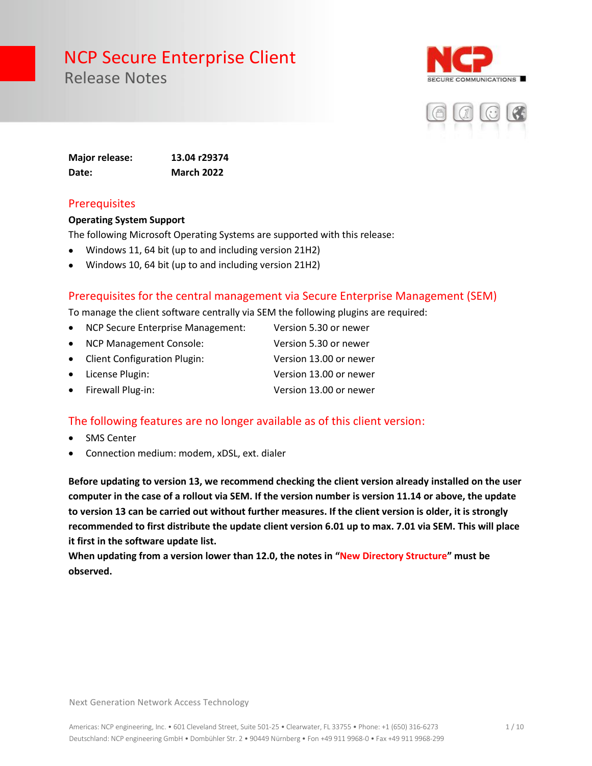Release Notes





**Major release: 13.04 r29374 Date: March 2022**

#### **Prerequisites**

#### **Operating System Support**

The following Microsoft Operating Systems are supported with this release:

- Windows 11, 64 bit (up to and including version 21H2)
- Windows 10, 64 bit (up to and including version 21H2)

#### Prerequisites for the central management via Secure Enterprise Management (SEM)

To manage the client software centrally via SEM the following plugins are required:

- NCP Secure Enterprise Management: Version 5.30 or newer
- NCP Management Console: Version 5.30 or newer
- Client Configuration Plugin: Version 13.00 or newer
- License Plugin: Version 13.00 or newer
	- Firewall Plug-in: Version 13.00 or newer

#### The following features are no longer available as of this client version:

- **SMS Center**
- Connection medium: modem, xDSL, ext. dialer

**Before updating to version 13, we recommend checking the client version already installed on the user computer in the case of a rollout via SEM. If the version number is version 11.14 or above, the update to version 13 can be carried out without further measures. If the client version is older, it is strongly recommended to first distribute the update client version 6.01 up to max. 7.01 via SEM. This will place it first in the software update list.** 

**When updating from a version lower than 12.0, the notes in "New Directory Structure" must be observed.**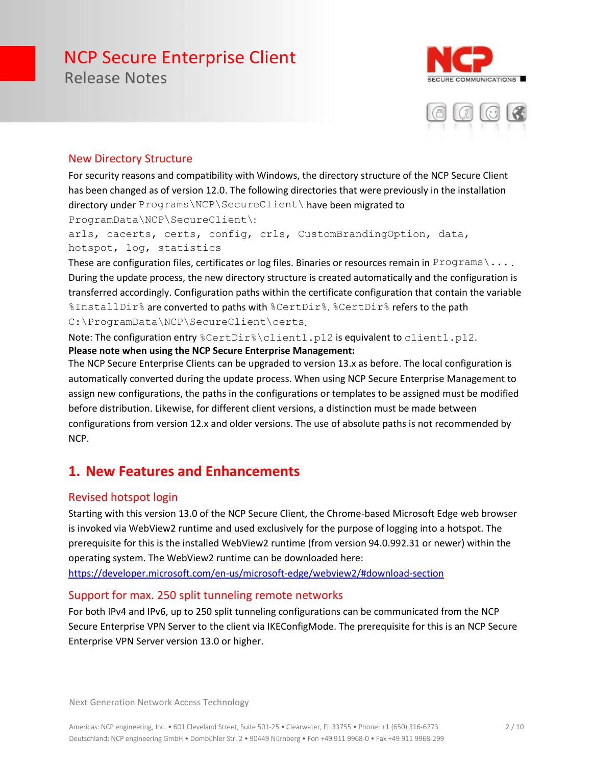Release Notes





#### New Directory Structure

For security reasons and compatibility with Windows, the directory structure of the NCP Secure Client has been changed as of version 12.0. The following directories that were previously in the installation directory under Programs\NCP\SecureClient\ have been migrated to ProgramData\NCP\SecureClient\:

arls, cacerts, certs, config, crls, CustomBrandingOption, data, hotspot, log, statistics

These are configuration files, certificates or log files. Binaries or resources remain in Programs \... During the update process, the new directory structure is created automatically and the configuration is transferred accordingly. Configuration paths within the certificate configuration that contain the variable %InstallDir% are converted to paths with %CertDir%. %CertDir% refers to the path C:\ProgramData\NCP\SecureClient\certs.

Note: The configuration entry %CertDir%\client1.p12 is equivalent to client1.p12. **Please note when using the NCP Secure Enterprise Management:**

The NCP Secure Enterprise Clients can be upgraded to version 13.x as before. The local configuration is automatically converted during the update process. When using NCP Secure Enterprise Management to assign new configurations, the paths in the configurations or templates to be assigned must be modified before distribution. Likewise, for different client versions, a distinction must be made between configurations from version 12.x and older versions. The use of absolute paths is not recommended by NCP.

#### **1. New Features and Enhancements**

#### Revised hotspot login

Starting with this version 13.0 of the NCP Secure Client, the Chrome-based Microsoft Edge web browser is invoked via WebView2 runtime and used exclusively for the purpose of logging into a hotspot. The prerequisite for this is the installed WebView2 runtime (from version 94.0.992.31 or newer) within the operating system. The WebView2 runtime can be downloaded here:

<https://developer.microsoft.com/en-us/microsoft-edge/webview2/#download-section>

#### Support for max. 250 split tunneling remote networks

For both IPv4 and IPv6, up to 250 split tunneling configurations can be communicated from the NCP Secure Enterprise VPN Server to the client via IKEConfigMode. The prerequisite for this is an NCP Secure Enterprise VPN Server version 13.0 or higher.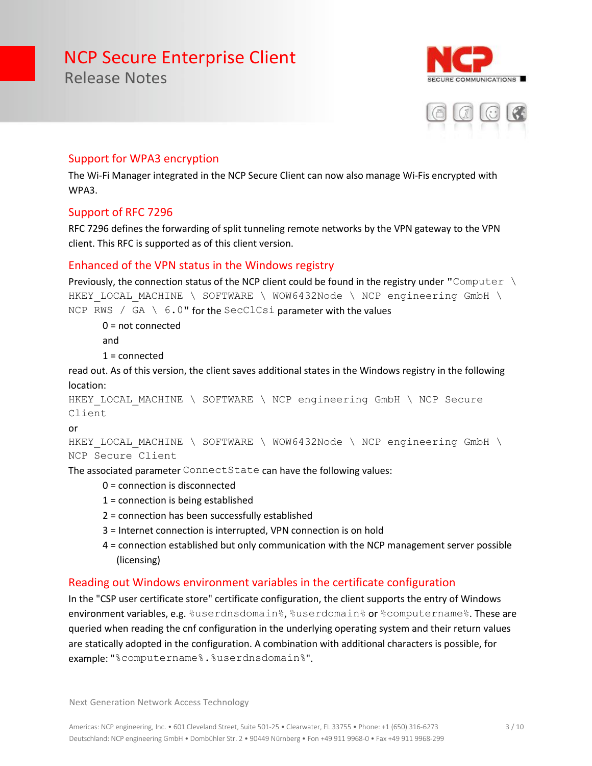E COMMUNICATIONS



#### Support for WPA3 encryption

The Wi-Fi Manager integrated in the NCP Secure Client can now also manage Wi-Fis encrypted with WPA3.

#### Support of RFC 7296

Release Notes

RFC 7296 defines the forwarding of split tunneling remote networks by the VPN gateway to the VPN client. This RFC is supported as of this client version.

#### Enhanced of the VPN status in the Windows registry

```
Previously, the connection status of the NCP client could be found in the registry under "Computer \
HKEY LOCAL MACHINE \ SOFTWARE \ WOW6432Node \ NCP engineering GmbH \
NCP RWS / GA \setminus 6.0" for the SecClCsi parameter with the values
```
0 = not connected

and

1 = connected

read out. As of this version, the client saves additional states in the Windows registry in the following location:

```
HKEY LOCAL MACHINE \ SOFTWARE \ NCP engineering GmbH \ NCP Secure
Client
```
or

```
HKEY LOCAL MACHINE \ SOFTWARE \ WOW6432Node \ NCP engineering GmbH \
NCP Secure Client
```
The associated parameter ConnectState can have the following values:

- 0 = connection is disconnected
- 1 = connection is being established
- 2 = connection has been successfully established
- 3 = Internet connection is interrupted, VPN connection is on hold
- 4 = connection established but only communication with the NCP management server possible (licensing)

#### Reading out Windows environment variables in the certificate configuration

In the "CSP user certificate store" certificate configuration, the client supports the entry of Windows environment variables, e.g. %userdnsdomain%, %userdomain% or %computername%. These are queried when reading the cnf configuration in the underlying operating system and their return values are statically adopted in the configuration. A combination with additional characters is possible, for example: "%computername%.%userdnsdomain%".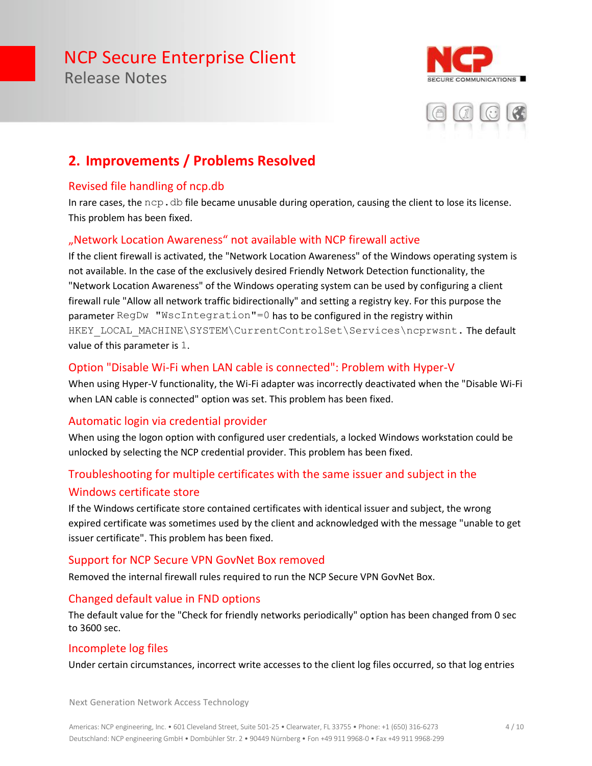Release Notes





### **2. Improvements / Problems Resolved**

#### Revised file handling of ncp.db

In rare cases, the  $ncp$ .  $db$  file became unusable during operation, causing the client to lose its license. This problem has been fixed.

#### "Network Location Awareness" not available with NCP firewall active

If the client firewall is activated, the "Network Location Awareness" of the Windows operating system is not available. In the case of the exclusively desired Friendly Network Detection functionality, the "Network Location Awareness" of the Windows operating system can be used by configuring a client firewall rule "Allow all network traffic bidirectionally" and setting a registry key. For this purpose the parameter RegDw "WscIntegration"=0 has to be configured in the registry within HKEY\_LOCAL\_MACHINE\SYSTEM\CurrentControlSet\Services\ncprwsnt. The default value of this parameter is 1.

#### Option "Disable Wi-Fi when LAN cable is connected": Problem with Hyper-V

When using Hyper-V functionality, the Wi-Fi adapter was incorrectly deactivated when the "Disable Wi-Fi when LAN cable is connected" option was set. This problem has been fixed.

#### Automatic login via credential provider

When using the logon option with configured user credentials, a locked Windows workstation could be unlocked by selecting the NCP credential provider. This problem has been fixed.

#### Troubleshooting for multiple certificates with the same issuer and subject in the Windows certificate store

If the Windows certificate store contained certificates with identical issuer and subject, the wrong expired certificate was sometimes used by the client and acknowledged with the message "unable to get issuer certificate". This problem has been fixed.

#### Support for NCP Secure VPN GovNet Box removed

Removed the internal firewall rules required to run the NCP Secure VPN GovNet Box.

#### Changed default value in FND options

The default value for the "Check for friendly networks periodically" option has been changed from 0 sec to 3600 sec.

#### Incomplete log files

Under certain circumstances, incorrect write accesses to the client log files occurred, so that log entries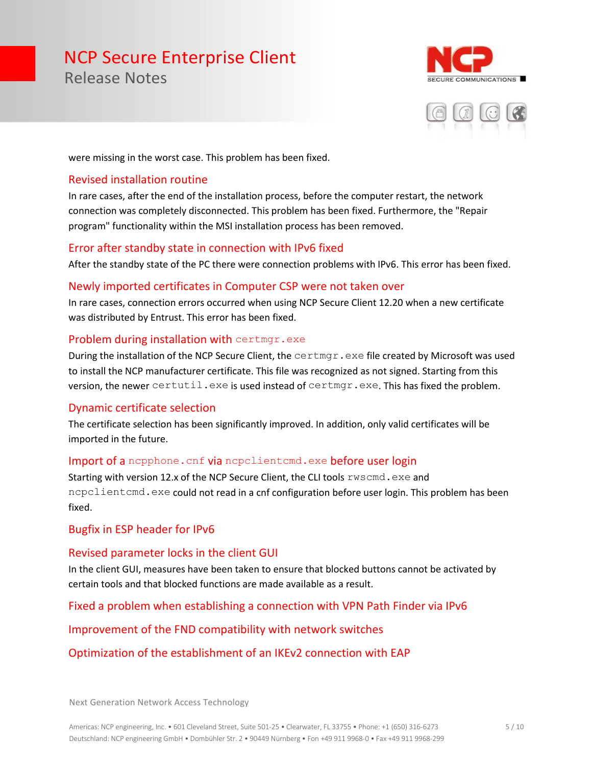Release Notes





were missing in the worst case. This problem has been fixed.

#### Revised installation routine

In rare cases, after the end of the installation process, before the computer restart, the network connection was completely disconnected. This problem has been fixed. Furthermore, the "Repair program" functionality within the MSI installation process has been removed.

#### Error after standby state in connection with IPv6 fixed

After the standby state of the PC there were connection problems with IPv6. This error has been fixed.

#### Newly imported certificates in Computer CSP were not taken over

In rare cases, connection errors occurred when using NCP Secure Client 12.20 when a new certificate was distributed by Entrust. This error has been fixed.

#### Problem during installation with certmgr.exe

During the installation of the NCP Secure Client, the certmgr.exe file created by Microsoft was used to install the NCP manufacturer certificate. This file was recognized as not signed. Starting from this version, the newer certutil.exe is used instead of certmgr.exe. This has fixed the problem.

#### Dynamic certificate selection

The certificate selection has been significantly improved. In addition, only valid certificates will be imported in the future.

#### Import of a nepphone. cnf via nepelientemd.exe before user login

Starting with version 12.x of the NCP Secure Client, the CLI tools rwscmd.exe and ncpclientcmd.exe could not read in a cnf configuration before user login. This problem has been fixed.

#### Bugfix in ESP header for IPv6

#### Revised parameter locks in the client GUI

In the client GUI, measures have been taken to ensure that blocked buttons cannot be activated by certain tools and that blocked functions are made available as a result.

#### Fixed a problem when establishing a connection with VPN Path Finder via IPv6

#### Improvement of the FND compatibility with network switches

#### Optimization of the establishment of an IKEv2 connection with EAP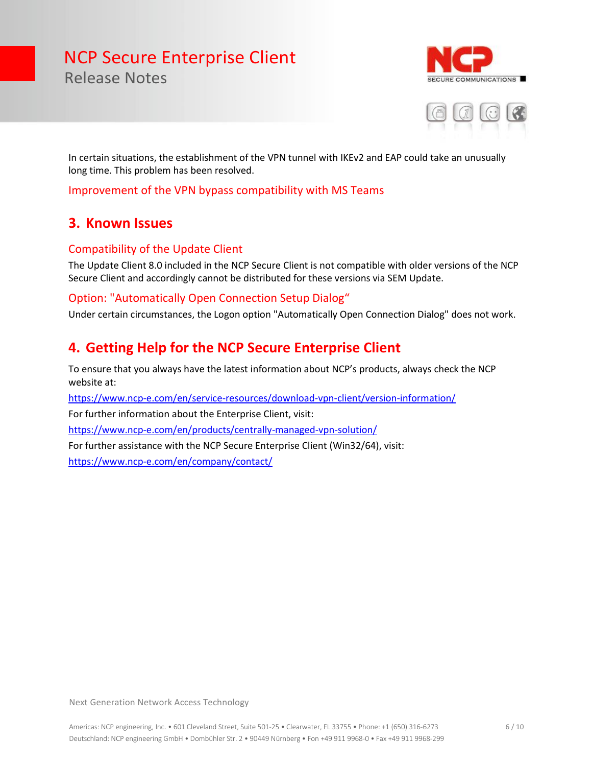URE COMMUNICATIONS



In certain situations, the establishment of the VPN tunnel with IKEv2 and EAP could take an unusually long time. This problem has been resolved.

Improvement of the VPN bypass compatibility with MS Teams

#### **3. Known Issues**

Release Notes

#### Compatibility of the Update Client

The Update Client 8.0 included in the NCP Secure Client is not compatible with older versions of the NCP Secure Client and accordingly cannot be distributed for these versions via SEM Update.

#### Option: "Automatically Open Connection Setup Dialog"

Under certain circumstances, the Logon option "Automatically Open Connection Dialog" does not work.

#### **4. Getting Help for the NCP Secure Enterprise Client**

To ensure that you always have the latest information about NCP's products, always check the NCP website at:

<https://www.ncp-e.com/en/service-resources/download-vpn-client/version-information/>

For further information about the Enterprise Client, visit:

<https://www.ncp-e.com/en/products/centrally-managed-vpn-solution/>

For further assistance with the NCP Secure Enterprise Client (Win32/64), visit:

<https://www.ncp-e.com/en/company/contact/>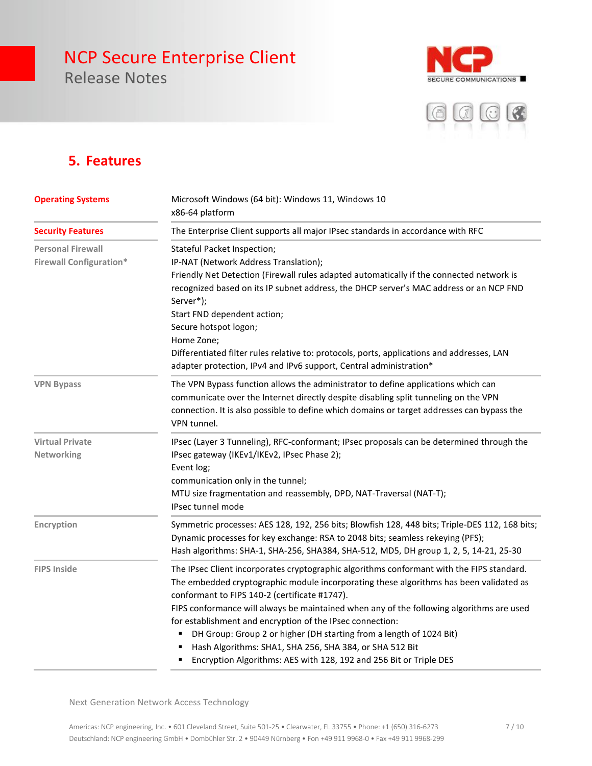Release Notes





#### **5. Features**

| <b>Operating Systems</b><br><b>Security Features</b>       | Microsoft Windows (64 bit): Windows 11, Windows 10<br>x86-64 platform                                                                                                                                                                                                                                                                                                                                                                                                                                                                                                                                 |  |
|------------------------------------------------------------|-------------------------------------------------------------------------------------------------------------------------------------------------------------------------------------------------------------------------------------------------------------------------------------------------------------------------------------------------------------------------------------------------------------------------------------------------------------------------------------------------------------------------------------------------------------------------------------------------------|--|
|                                                            | The Enterprise Client supports all major IPsec standards in accordance with RFC                                                                                                                                                                                                                                                                                                                                                                                                                                                                                                                       |  |
| <b>Personal Firewall</b><br><b>Firewall Configuration*</b> | Stateful Packet Inspection;<br>IP-NAT (Network Address Translation);<br>Friendly Net Detection (Firewall rules adapted automatically if the connected network is<br>recognized based on its IP subnet address, the DHCP server's MAC address or an NCP FND<br>Server*);<br>Start FND dependent action;<br>Secure hotspot logon;<br>Home Zone;<br>Differentiated filter rules relative to: protocols, ports, applications and addresses, LAN<br>adapter protection, IPv4 and IPv6 support, Central administration*                                                                                     |  |
| <b>VPN Bypass</b>                                          | The VPN Bypass function allows the administrator to define applications which can<br>communicate over the Internet directly despite disabling split tunneling on the VPN<br>connection. It is also possible to define which domains or target addresses can bypass the<br>VPN tunnel.                                                                                                                                                                                                                                                                                                                 |  |
| <b>Virtual Private</b><br>Networking                       | IPsec (Layer 3 Tunneling), RFC-conformant; IPsec proposals can be determined through the<br>IPsec gateway (IKEv1/IKEv2, IPsec Phase 2);<br>Event log;<br>communication only in the tunnel;<br>MTU size fragmentation and reassembly, DPD, NAT-Traversal (NAT-T);<br>IPsec tunnel mode                                                                                                                                                                                                                                                                                                                 |  |
| Encryption                                                 | Symmetric processes: AES 128, 192, 256 bits; Blowfish 128, 448 bits; Triple-DES 112, 168 bits;<br>Dynamic processes for key exchange: RSA to 2048 bits; seamless rekeying (PFS);<br>Hash algorithms: SHA-1, SHA-256, SHA384, SHA-512, MD5, DH group 1, 2, 5, 14-21, 25-30                                                                                                                                                                                                                                                                                                                             |  |
| <b>FIPS Inside</b>                                         | The IPsec Client incorporates cryptographic algorithms conformant with the FIPS standard.<br>The embedded cryptographic module incorporating these algorithms has been validated as<br>conformant to FIPS 140-2 (certificate #1747).<br>FIPS conformance will always be maintained when any of the following algorithms are used<br>for establishment and encryption of the IPsec connection:<br>DH Group: Group 2 or higher (DH starting from a length of 1024 Bit)<br>Hash Algorithms: SHA1, SHA 256, SHA 384, or SHA 512 Bit<br>Encryption Algorithms: AES with 128, 192 and 256 Bit or Triple DES |  |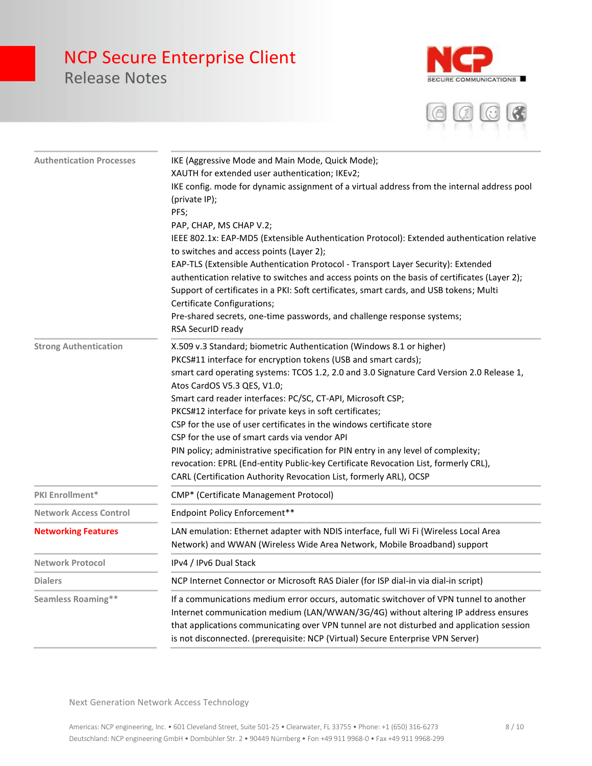

Release Notes



| <b>Authentication Processes</b> | IKE (Aggressive Mode and Main Mode, Quick Mode);                                              |
|---------------------------------|-----------------------------------------------------------------------------------------------|
|                                 | XAUTH for extended user authentication; IKEv2;                                                |
|                                 | IKE config. mode for dynamic assignment of a virtual address from the internal address pool   |
|                                 | (private IP);                                                                                 |
|                                 | PFS;                                                                                          |
|                                 | PAP, CHAP, MS CHAP V.2;                                                                       |
|                                 | IEEE 802.1x: EAP-MD5 (Extensible Authentication Protocol): Extended authentication relative   |
|                                 | to switches and access points (Layer 2);                                                      |
|                                 | EAP-TLS (Extensible Authentication Protocol - Transport Layer Security): Extended             |
|                                 | authentication relative to switches and access points on the basis of certificates (Layer 2); |
|                                 | Support of certificates in a PKI: Soft certificates, smart cards, and USB tokens; Multi       |
|                                 | Certificate Configurations;                                                                   |
|                                 | Pre-shared secrets, one-time passwords, and challenge response systems;                       |
|                                 | RSA SecurID ready                                                                             |
| <b>Strong Authentication</b>    | X.509 v.3 Standard; biometric Authentication (Windows 8.1 or higher)                          |
|                                 | PKCS#11 interface for encryption tokens (USB and smart cards);                                |
|                                 | smart card operating systems: TCOS 1.2, 2.0 and 3.0 Signature Card Version 2.0 Release 1,     |
|                                 | Atos CardOS V5.3 QES, V1.0;                                                                   |
|                                 | Smart card reader interfaces: PC/SC, CT-API, Microsoft CSP;                                   |
|                                 | PKCS#12 interface for private keys in soft certificates;                                      |
|                                 | CSP for the use of user certificates in the windows certificate store                         |
|                                 | CSP for the use of smart cards via vendor API                                                 |
|                                 | PIN policy; administrative specification for PIN entry in any level of complexity;            |
|                                 | revocation: EPRL (End-entity Public-key Certificate Revocation List, formerly CRL),           |
|                                 | CARL (Certification Authority Revocation List, formerly ARL), OCSP                            |
| PKI Enrollment*                 | CMP* (Certificate Management Protocol)                                                        |
| <b>Network Access Control</b>   | Endpoint Policy Enforcement**                                                                 |
| <b>Networking Features</b>      | LAN emulation: Ethernet adapter with NDIS interface, full Wi Fi (Wireless Local Area          |
|                                 | Network) and WWAN (Wireless Wide Area Network, Mobile Broadband) support                      |
| <b>Network Protocol</b>         | IPv4 / IPv6 Dual Stack                                                                        |
| <b>Dialers</b>                  | NCP Internet Connector or Microsoft RAS Dialer (for ISP dial-in via dial-in script)           |
| <b>Seamless Roaming**</b>       | If a communications medium error occurs, automatic switchover of VPN tunnel to another        |
|                                 | Internet communication medium (LAN/WWAN/3G/4G) without altering IP address ensures            |
|                                 | that applications communicating over VPN tunnel are not disturbed and application session     |
|                                 | is not disconnected. (prerequisite: NCP (Virtual) Secure Enterprise VPN Server)               |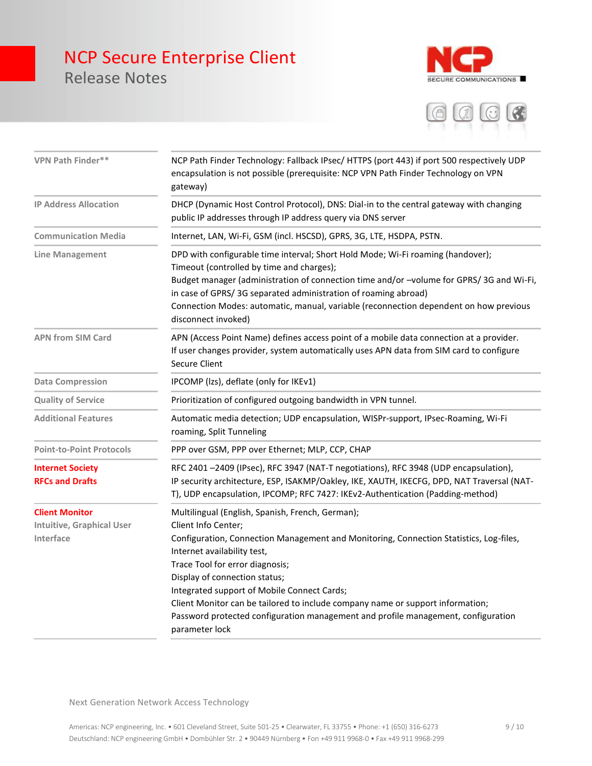### NCP Secure Enterprise Client Release Notes





| <b>VPN Path Finder**</b>                                               | NCP Path Finder Technology: Fallback IPsec/ HTTPS (port 443) if port 500 respectively UDP<br>encapsulation is not possible (prerequisite: NCP VPN Path Finder Technology on VPN<br>gateway)                                                                                                                                                                                                                                                                                                                  |
|------------------------------------------------------------------------|--------------------------------------------------------------------------------------------------------------------------------------------------------------------------------------------------------------------------------------------------------------------------------------------------------------------------------------------------------------------------------------------------------------------------------------------------------------------------------------------------------------|
| <b>IP Address Allocation</b>                                           | DHCP (Dynamic Host Control Protocol), DNS: Dial-in to the central gateway with changing<br>public IP addresses through IP address query via DNS server                                                                                                                                                                                                                                                                                                                                                       |
| <b>Communication Media</b>                                             | Internet, LAN, Wi-Fi, GSM (incl. HSCSD), GPRS, 3G, LTE, HSDPA, PSTN.                                                                                                                                                                                                                                                                                                                                                                                                                                         |
| <b>Line Management</b>                                                 | DPD with configurable time interval; Short Hold Mode; Wi-Fi roaming (handover);<br>Timeout (controlled by time and charges);<br>Budget manager (administration of connection time and/or -volume for GPRS/3G and Wi-Fi,<br>in case of GPRS/3G separated administration of roaming abroad)<br>Connection Modes: automatic, manual, variable (reconnection dependent on how previous<br>disconnect invoked)                                                                                                    |
| <b>APN from SIM Card</b>                                               | APN (Access Point Name) defines access point of a mobile data connection at a provider.<br>If user changes provider, system automatically uses APN data from SIM card to configure<br><b>Secure Client</b>                                                                                                                                                                                                                                                                                                   |
| <b>Data Compression</b>                                                | IPCOMP (Izs), deflate (only for IKEv1)                                                                                                                                                                                                                                                                                                                                                                                                                                                                       |
| <b>Quality of Service</b>                                              | Prioritization of configured outgoing bandwidth in VPN tunnel.                                                                                                                                                                                                                                                                                                                                                                                                                                               |
| <b>Additional Features</b>                                             | Automatic media detection; UDP encapsulation, WISPr-support, IPsec-Roaming, Wi-Fi<br>roaming, Split Tunneling                                                                                                                                                                                                                                                                                                                                                                                                |
| <b>Point-to-Point Protocols</b>                                        | PPP over GSM, PPP over Ethernet; MLP, CCP, CHAP                                                                                                                                                                                                                                                                                                                                                                                                                                                              |
| <b>Internet Society</b><br><b>RFCs and Drafts</b>                      | RFC 2401-2409 (IPsec), RFC 3947 (NAT-T negotiations), RFC 3948 (UDP encapsulation),<br>IP security architecture, ESP, ISAKMP/Oakley, IKE, XAUTH, IKECFG, DPD, NAT Traversal (NAT-<br>T), UDP encapsulation, IPCOMP; RFC 7427: IKEv2-Authentication (Padding-method)                                                                                                                                                                                                                                          |
| <b>Client Monitor</b><br><b>Intuitive, Graphical User</b><br>Interface | Multilingual (English, Spanish, French, German);<br>Client Info Center;<br>Configuration, Connection Management and Monitoring, Connection Statistics, Log-files,<br>Internet availability test,<br>Trace Tool for error diagnosis;<br>Display of connection status;<br>Integrated support of Mobile Connect Cards;<br>Client Monitor can be tailored to include company name or support information;<br>Password protected configuration management and profile management, configuration<br>parameter lock |